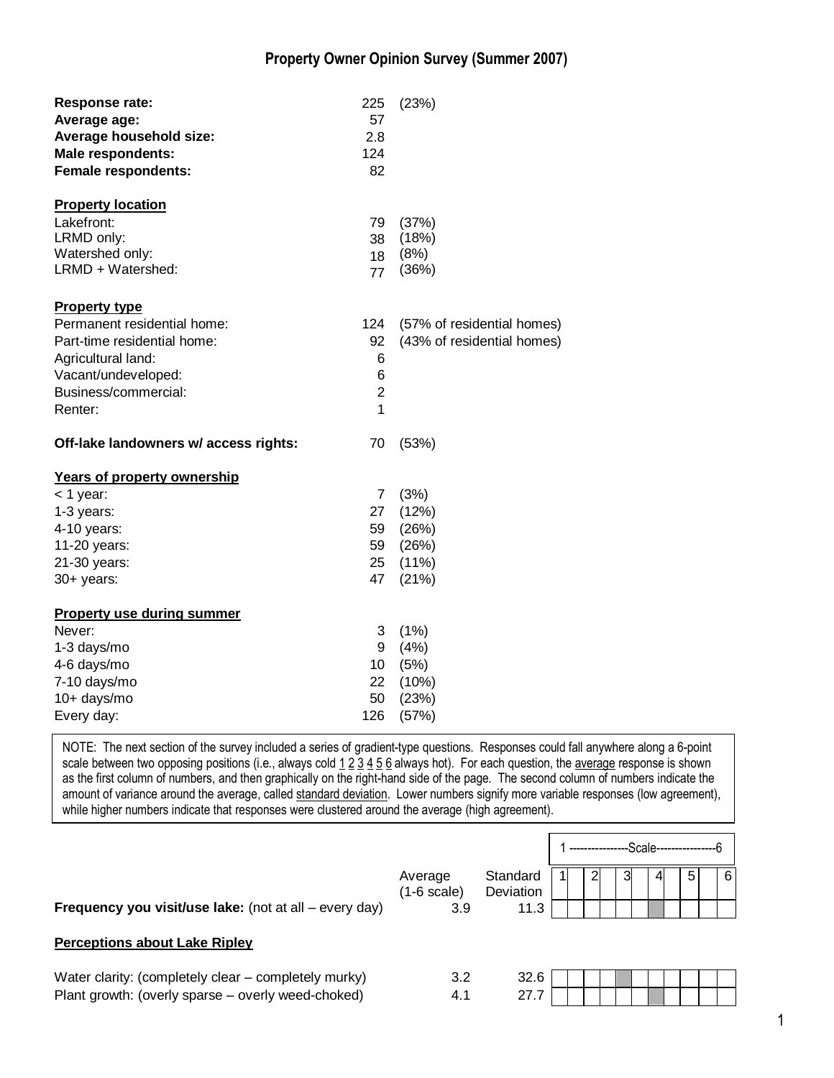## **Property Owner Opinion Survey (Summer 2007)**

| Response rate:<br>Average age:<br>Average household size:<br><b>Male respondents:</b><br><b>Female respondents:</b> | 225<br>57<br>2.8<br>124<br>82 | (23%)                      |
|---------------------------------------------------------------------------------------------------------------------|-------------------------------|----------------------------|
| <b>Property location</b>                                                                                            |                               |                            |
| Lakefront:                                                                                                          | 79                            | (37%)                      |
| LRMD only:                                                                                                          | 38                            | (18%)                      |
| Watershed only:                                                                                                     | 18                            | (8%)                       |
| LRMD + Watershed:                                                                                                   | 77                            | (36%)                      |
| <b>Property type</b>                                                                                                |                               |                            |
| Permanent residential home:                                                                                         | 124                           | (57% of residential homes) |
| Part-time residential home:                                                                                         | 92                            | (43% of residential homes) |
| Agricultural land:                                                                                                  | 6                             |                            |
| Vacant/undeveloped:                                                                                                 | 6                             |                            |
| Business/commercial:                                                                                                | $\overline{2}$                |                            |
| Renter:                                                                                                             | 1                             |                            |
| Off-lake landowners w/ access rights:                                                                               | 70                            | (53%)                      |
| <b>Years of property ownership</b>                                                                                  |                               |                            |
| $<$ 1 year:                                                                                                         | $\overline{7}$                | (3%)                       |
| 1-3 years:                                                                                                          | 27                            | (12%)                      |
| 4-10 years:                                                                                                         | 59                            | (26%)                      |
| 11-20 years:                                                                                                        | 59                            | (26%)                      |
| 21-30 years:                                                                                                        | 25                            | $(11\%)$                   |
| 30+ years:                                                                                                          | 47                            | (21%)                      |
| <b>Property use during summer</b>                                                                                   |                               |                            |
| Never:                                                                                                              | 3                             | (1%)                       |
| 1-3 days/mo                                                                                                         | 9                             | (4%)                       |
| 4-6 days/mo                                                                                                         | 10 <sup>1</sup>               | (5%)                       |
| 7-10 days/mo                                                                                                        | 22                            | (10%)                      |
| 10+ days/mo                                                                                                         | 50                            | (23%)                      |
| Every day:                                                                                                          | 126                           | (57%)                      |

NOTE: The next section of the survey included a series of gradient-type questions. Responses could fall anywhere along a 6-point scale between two opposing positions (i.e., always cold  $123456$  always hot). For each question, the average response is shown as the first column of numbers, and then graphically on the right-hand side of the page. The second column of numbers indicate the amount of variance around the average, called standard deviation. Lower numbers signify more variable responses (low agreement), while higher numbers indicate that responses were clustered around the average (high agreement).

|                                                        |                          |                       |  |   | -Scale- |   |   |
|--------------------------------------------------------|--------------------------|-----------------------|--|---|---------|---|---|
|                                                        | Average<br>$(1-6 scale)$ | Standard<br>Deviation |  | 3 | 4       | 5 | 6 |
| Frequency you visit/use lake: (not at all – every day) | 3.9                      | 11.3                  |  |   |         |   |   |
| <b>Perceptions about Lake Ripley</b>                   |                          |                       |  |   |         |   |   |
| Water clarity: (completely clear – completely murky)   | 3.2                      | 32.6                  |  |   |         |   |   |
| Plant growth: (overly sparse - overly weed-choked)     | 4.1                      | 27.7                  |  |   |         |   |   |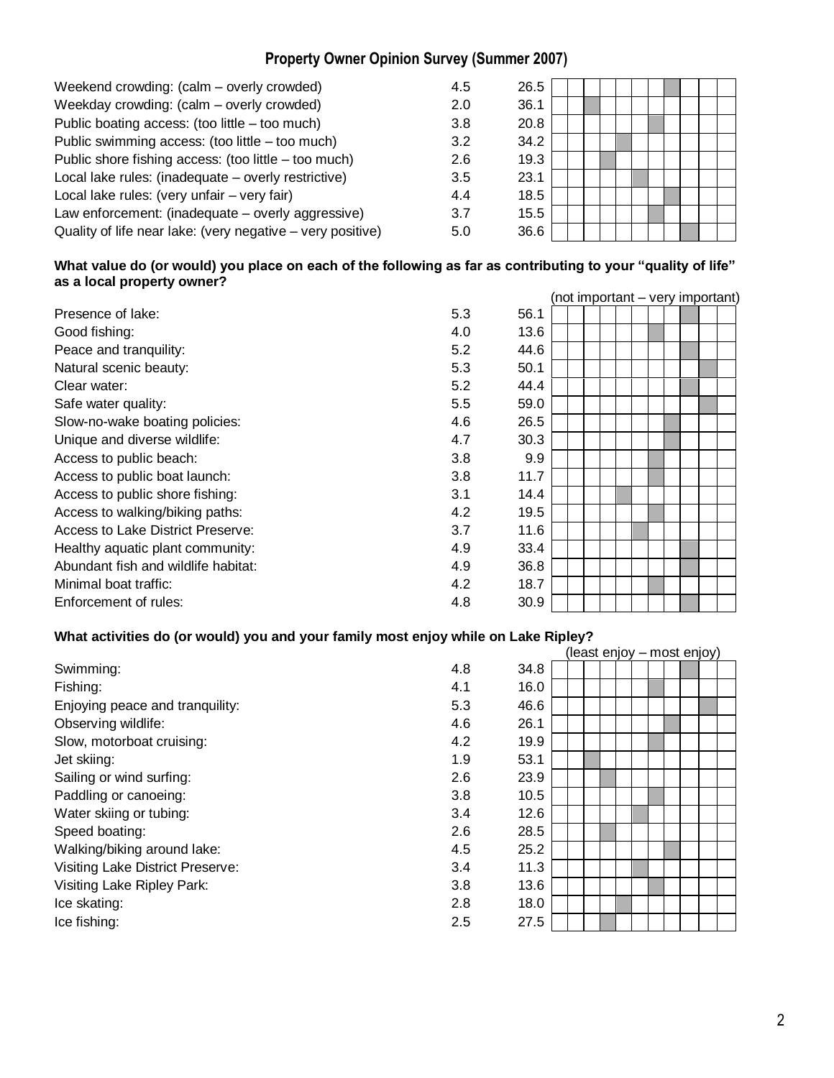# **Property Owner Opinion Survey (Summer 2007)**

| Weekend crowding: (calm – overly crowded)                  | 4.5 | 26.5 |  |  |  |  |  |  |
|------------------------------------------------------------|-----|------|--|--|--|--|--|--|
| Weekday crowding: (calm - overly crowded)                  | 2.0 | 36.1 |  |  |  |  |  |  |
| Public boating access: (too little - too much)             | 3.8 | 20.8 |  |  |  |  |  |  |
| Public swimming access: (too little - too much)            | 3.2 | 34.2 |  |  |  |  |  |  |
| Public shore fishing access: (too little - too much)       | 2.6 | 19.3 |  |  |  |  |  |  |
| Local lake rules: (inadequate - overly restrictive)        | 3.5 | 23.1 |  |  |  |  |  |  |
| Local lake rules: (very unfair - very fair)                | 4.4 | 18.5 |  |  |  |  |  |  |
| Law enforcement: (inadequate – overly aggressive)          | 3.7 | 15.5 |  |  |  |  |  |  |
| Quality of life near lake: (very negative – very positive) | 5.0 | 36.6 |  |  |  |  |  |  |
|                                                            |     |      |  |  |  |  |  |  |

#### **What value do (or would) you place on each of the following as far as contributing to your "quality of life" as a local property owner?**

|                                     |     |      | (not important - very important) |  |  |  |
|-------------------------------------|-----|------|----------------------------------|--|--|--|
| Presence of lake:                   | 5.3 | 56.1 |                                  |  |  |  |
| Good fishing:                       | 4.0 | 13.6 |                                  |  |  |  |
| Peace and tranquility:              | 5.2 | 44.6 |                                  |  |  |  |
| Natural scenic beauty:              | 5.3 | 50.1 |                                  |  |  |  |
| Clear water:                        | 5.2 | 44.4 |                                  |  |  |  |
| Safe water quality:                 | 5.5 | 59.0 |                                  |  |  |  |
| Slow-no-wake boating policies:      | 4.6 | 26.5 |                                  |  |  |  |
| Unique and diverse wildlife:        | 4.7 | 30.3 |                                  |  |  |  |
| Access to public beach:             | 3.8 | 9.9  |                                  |  |  |  |
| Access to public boat launch:       | 3.8 | 11.7 |                                  |  |  |  |
| Access to public shore fishing:     | 3.1 | 14.4 |                                  |  |  |  |
| Access to walking/biking paths:     | 4.2 | 19.5 |                                  |  |  |  |
| Access to Lake District Preserve:   | 3.7 | 11.6 |                                  |  |  |  |
| Healthy aquatic plant community:    | 4.9 | 33.4 |                                  |  |  |  |
| Abundant fish and wildlife habitat: | 4.9 | 36.8 |                                  |  |  |  |
| Minimal boat traffic:               | 4.2 | 18.7 |                                  |  |  |  |
| Enforcement of rules:               | 4.8 | 30.9 |                                  |  |  |  |

### **What activities do (or would) you and your family most enjoy while on Lake Ripley?**

|                                  |     |      |  |  |  | (least enjoy – most enjoy) |  |
|----------------------------------|-----|------|--|--|--|----------------------------|--|
| Swimming:                        | 4.8 | 34.8 |  |  |  |                            |  |
| Fishing:                         | 4.1 | 16.0 |  |  |  |                            |  |
| Enjoying peace and tranquility:  | 5.3 | 46.6 |  |  |  |                            |  |
| Observing wildlife:              | 4.6 | 26.1 |  |  |  |                            |  |
| Slow, motorboat cruising:        | 4.2 | 19.9 |  |  |  |                            |  |
| Jet skiing:                      | 1.9 | 53.1 |  |  |  |                            |  |
| Sailing or wind surfing:         | 2.6 | 23.9 |  |  |  |                            |  |
| Paddling or canoeing:            | 3.8 | 10.5 |  |  |  |                            |  |
| Water skiing or tubing:          | 3.4 | 12.6 |  |  |  |                            |  |
| Speed boating:                   | 2.6 | 28.5 |  |  |  |                            |  |
| Walking/biking around lake:      | 4.5 | 25.2 |  |  |  |                            |  |
| Visiting Lake District Preserve: | 3.4 | 11.3 |  |  |  |                            |  |
| Visiting Lake Ripley Park:       | 3.8 | 13.6 |  |  |  |                            |  |
| Ice skating:                     | 2.8 | 18.0 |  |  |  |                            |  |
| Ice fishing:                     | 2.5 | 27.5 |  |  |  |                            |  |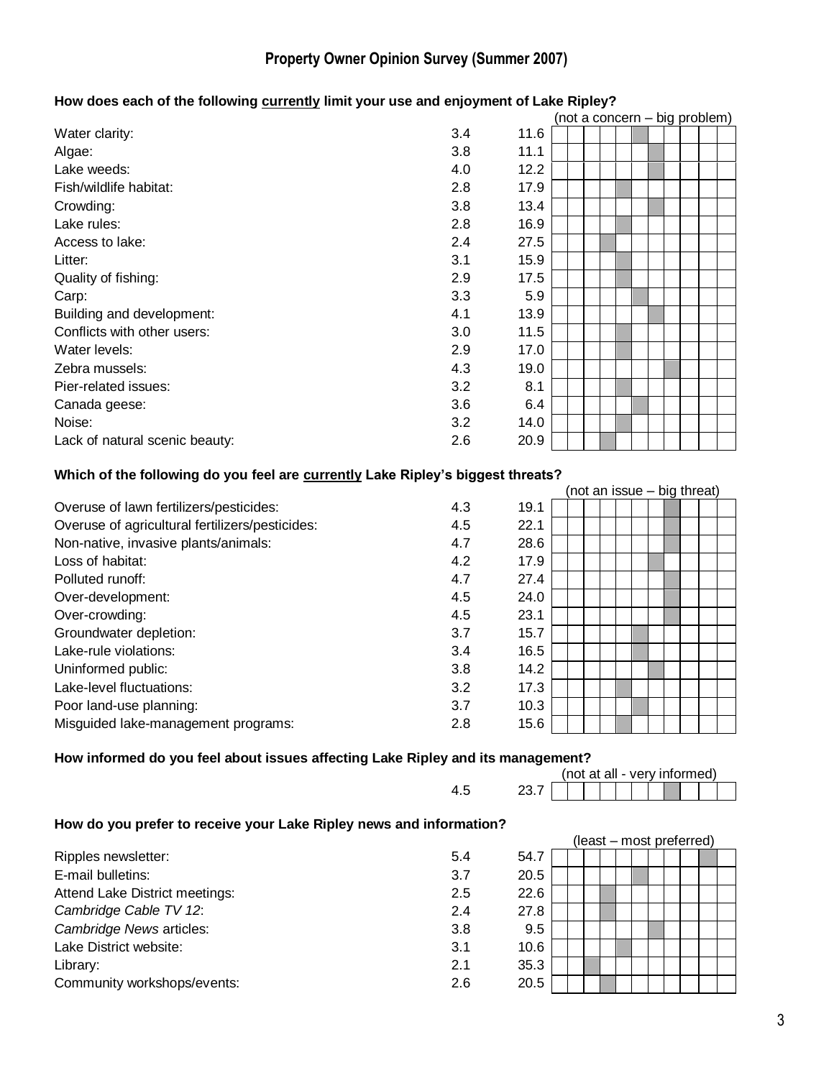# **Property Owner Opinion Survey (Summer 2007)**

# **How does each of the following currently limit your use and enjoyment of Lake Ripley?**

|                                |     |      |  |  |  |  | (not a concern – big problem) |  |
|--------------------------------|-----|------|--|--|--|--|-------------------------------|--|
| Water clarity:                 | 3.4 | 11.6 |  |  |  |  |                               |  |
| Algae:                         | 3.8 | 11.1 |  |  |  |  |                               |  |
| Lake weeds:                    | 4.0 | 12.2 |  |  |  |  |                               |  |
| Fish/wildlife habitat:         | 2.8 | 17.9 |  |  |  |  |                               |  |
| Crowding:                      | 3.8 | 13.4 |  |  |  |  |                               |  |
| Lake rules:                    | 2.8 | 16.9 |  |  |  |  |                               |  |
| Access to lake:                | 2.4 | 27.5 |  |  |  |  |                               |  |
| Litter:                        | 3.1 | 15.9 |  |  |  |  |                               |  |
| Quality of fishing:            | 2.9 | 17.5 |  |  |  |  |                               |  |
| Carp:                          | 3.3 | 5.9  |  |  |  |  |                               |  |
| Building and development:      | 4.1 | 13.9 |  |  |  |  |                               |  |
| Conflicts with other users:    | 3.0 | 11.5 |  |  |  |  |                               |  |
| Water levels:                  | 2.9 | 17.0 |  |  |  |  |                               |  |
| Zebra mussels:                 | 4.3 | 19.0 |  |  |  |  |                               |  |
| Pier-related issues:           | 3.2 | 8.1  |  |  |  |  |                               |  |
| Canada geese:                  | 3.6 | 6.4  |  |  |  |  |                               |  |
| Noise:                         | 3.2 | 14.0 |  |  |  |  |                               |  |
| Lack of natural scenic beauty: | 2.6 | 20.9 |  |  |  |  |                               |  |

#### **Which of the following do you feel are currently Lake Ripley's biggest threats?**

|                                                 |     |      |  |  | (not an issue – big threat) |  |
|-------------------------------------------------|-----|------|--|--|-----------------------------|--|
| Overuse of lawn fertilizers/pesticides:         | 4.3 | 19.1 |  |  |                             |  |
| Overuse of agricultural fertilizers/pesticides: | 4.5 | 22.1 |  |  |                             |  |
| Non-native, invasive plants/animals:            | 4.7 | 28.6 |  |  |                             |  |
| Loss of habitat:                                | 4.2 | 17.9 |  |  |                             |  |
| Polluted runoff:                                | 4.7 | 27.4 |  |  |                             |  |
| Over-development:                               | 4.5 | 24.0 |  |  |                             |  |
| Over-crowding:                                  | 4.5 | 23.1 |  |  |                             |  |
| Groundwater depletion:                          | 3.7 | 15.7 |  |  |                             |  |
| Lake-rule violations:                           | 3.4 | 16.5 |  |  |                             |  |
| Uninformed public:                              | 3.8 | 14.2 |  |  |                             |  |
| Lake-level fluctuations:                        | 3.2 | 17.3 |  |  |                             |  |
| Poor land-use planning:                         | 3.7 | 10.3 |  |  |                             |  |
| Misguided lake-management programs:             | 2.8 | 15.6 |  |  |                             |  |

#### **How informed do you feel about issues affecting Lake Ripley and its management?**

|                            |        |  | (not at all - very informed) |  |  |  |
|----------------------------|--------|--|------------------------------|--|--|--|
| $\sqrt{ }$<br>Ω.<br>$\sim$ | $\sim$ |  |                              |  |  |  |

#### **How do you prefer to receive your Lake Ripley news and information?**

| <b>TION as you profer to reserve your Lake Hipley Hend and Imprination.</b> |     |      |  |  |                          |  |  |  |  |
|-----------------------------------------------------------------------------|-----|------|--|--|--------------------------|--|--|--|--|
|                                                                             |     |      |  |  | (least – most preferred) |  |  |  |  |
| Ripples newsletter:                                                         | 5.4 | 54.7 |  |  |                          |  |  |  |  |
| E-mail bulletins:                                                           | 3.7 | 20.5 |  |  |                          |  |  |  |  |
| Attend Lake District meetings:                                              | 2.5 | 22.6 |  |  |                          |  |  |  |  |
| Cambridge Cable TV 12:                                                      | 2.4 | 27.8 |  |  |                          |  |  |  |  |
| Cambridge News articles:                                                    | 3.8 | 9.5  |  |  |                          |  |  |  |  |
| Lake District website:                                                      | 3.1 | 10.6 |  |  |                          |  |  |  |  |
| Library:                                                                    | 2.1 | 35.3 |  |  |                          |  |  |  |  |
| Community workshops/events:                                                 | 2.6 | 20.5 |  |  |                          |  |  |  |  |